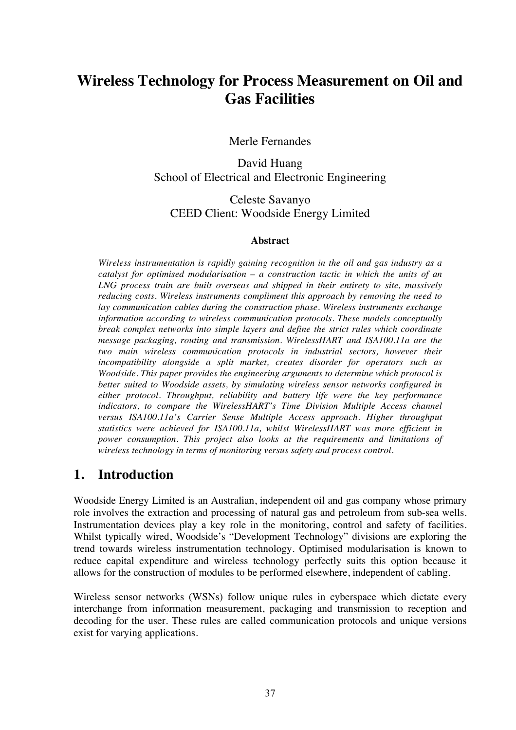# **Wireless Technology for Process Measurement on Oil and Gas Facilities**

Merle Fernandes

David Huang School of Electrical and Electronic Engineering

Celeste Savanyo CEED Client: Woodside Energy Limited

#### **Abstract**

*Wireless instrumentation is rapidly gaining recognition in the oil and gas industry as a catalyst for optimised modularisation – a construction tactic in which the units of an LNG process train are built overseas and shipped in their entirety to site, massively reducing costs. Wireless instruments compliment this approach by removing the need to lay communication cables during the construction phase. Wireless instruments exchange information according to wireless communication protocols. These models conceptually break complex networks into simple layers and define the strict rules which coordinate message packaging, routing and transmission. WirelessHART and ISA100.11a are the two main wireless communication protocols in industrial sectors, however their incompatibility alongside a split market, creates disorder for operators such as Woodside. This paper provides the engineering arguments to determine which protocol is better suited to Woodside assets, by simulating wireless sensor networks configured in either protocol. Throughput, reliability and battery life were the key performance indicators, to compare the WirelessHART's Time Division Multiple Access channel versus ISA100.11a's Carrier Sense Multiple Access approach. Higher throughput statistics were achieved for ISA100.11a, whilst WirelessHART was more efficient in power consumption. This project also looks at the requirements and limitations of wireless technology in terms of monitoring versus safety and process control.*

#### **1. Introduction**

Woodside Energy Limited is an Australian, independent oil and gas company whose primary role involves the extraction and processing of natural gas and petroleum from sub-sea wells. Instrumentation devices play a key role in the monitoring, control and safety of facilities. Whilst typically wired, Woodside's "Development Technology" divisions are exploring the trend towards wireless instrumentation technology. Optimised modularisation is known to reduce capital expenditure and wireless technology perfectly suits this option because it allows for the construction of modules to be performed elsewhere, independent of cabling.

Wireless sensor networks (WSNs) follow unique rules in cyberspace which dictate every interchange from information measurement, packaging and transmission to reception and decoding for the user. These rules are called communication protocols and unique versions exist for varying applications.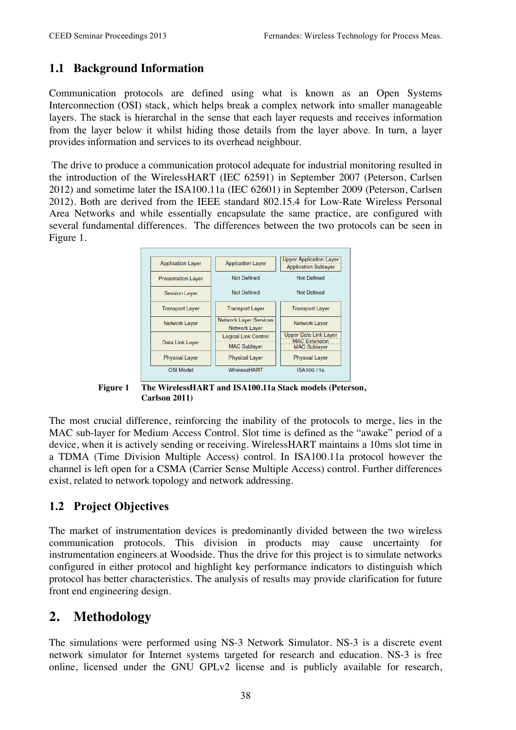#### **1.1 Background Information**

Communication protocols are defined using what is known as an Open Systems Interconnection (OSI) stack, which helps break a complex network into smaller manageable layers. The stack is hierarchal in the sense that each layer requests and receives information from the layer below it whilst hiding those details from the layer above. In turn, a layer provides information and services to its overhead neighbour.

The drive to produce a communication protocol adequate for industrial monitoring resulted in the introduction of the WirelessHART (IEC 62591) in September 2007 (Peterson, Carlsen 2012) and sometime later the ISA100.11a (IEC 62601) in September 2009 (Peterson, Carlsen 2012). Both are derived from the IEEE standard 802.15.4 for Low-Rate Wireless Personal Area Networks and while essentially encapsulate the same practice, are configured with several fundamental differences. The differences between the two protocols can be seen in Figure 1.



**Figure 1 The WirelessHART and ISA100.11a Stack models (Peterson, Carlson 2011)**

The most crucial difference, reinforcing the inability of the protocols to merge, lies in the MAC sub-layer for Medium Access Control. Slot time is defined as the "awake" period of a device, when it is actively sending or receiving. WirelessHART maintains a 10ms slot time in a TDMA (Time Division Multiple Access) control. In ISA100.11a protocol however the channel is left open for a CSMA (Carrier Sense Multiple Access) control. Further differences exist, related to network topology and network addressing.

#### **1.2 Project Objectives**

The market of instrumentation devices is predominantly divided between the two wireless communication protocols. This division in products may cause uncertainty for instrumentation engineers at Woodside. Thus the drive for this project is to simulate networks configured in either protocol and highlight key performance indicators to distinguish which protocol has better characteristics. The analysis of results may provide clarification for future front end engineering design.

### **2. Methodology**

The simulations were performed using NS-3 Network Simulator. NS-3 is a discrete event network simulator for Internet systems targeted for research and education. NS-3 is free online, licensed under the GNU GPLv2 license and is publicly available for research,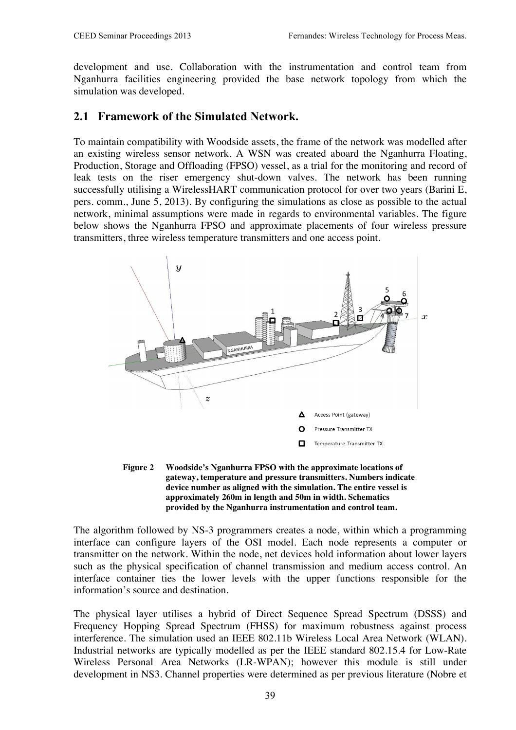development and use. Collaboration with the instrumentation and control team from Nganhurra facilities engineering provided the base network topology from which the simulation was developed.

#### **2.1 Framework of the Simulated Network.**

To maintain compatibility with Woodside assets, the frame of the network was modelled after an existing wireless sensor network. A WSN was created aboard the Nganhurra Floating, Production, Storage and Offloading (FPSO) vessel, as a trial for the monitoring and record of leak tests on the riser emergency shut-down valves. The network has been running successfully utilising a WirelessHART communication protocol for over two years (Barini E, pers. comm., June 5, 2013). By configuring the simulations as close as possible to the actual network, minimal assumptions were made in regards to environmental variables. The figure below shows the Nganhurra FPSO and approximate placements of four wireless pressure transmitters, three wireless temperature transmitters and one access point.



**Figure 2 Woodside's Nganhurra FPSO with the approximate locations of gateway, temperature and pressure transmitters. Numbers indicate device number as aligned with the simulation. The entire vessel is approximately 260m in length and 50m in width. Schematics provided by the Nganhurra instrumentation and control team.**

The algorithm followed by NS-3 programmers creates a node, within which a programming interface can configure layers of the OSI model. Each node represents a computer or transmitter on the network. Within the node, net devices hold information about lower layers such as the physical specification of channel transmission and medium access control. An interface container ties the lower levels with the upper functions responsible for the information's source and destination.

The physical layer utilises a hybrid of Direct Sequence Spread Spectrum (DSSS) and Frequency Hopping Spread Spectrum (FHSS) for maximum robustness against process interference. The simulation used an IEEE 802.11b Wireless Local Area Network (WLAN). Industrial networks are typically modelled as per the IEEE standard 802.15.4 for Low-Rate Wireless Personal Area Networks (LR-WPAN); however this module is still under development in NS3. Channel properties were determined as per previous literature (Nobre et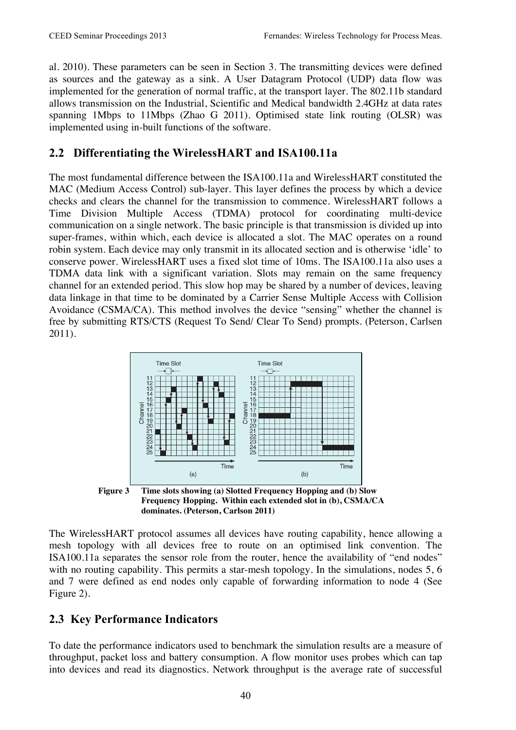al. 2010). These parameters can be seen in Section 3. The transmitting devices were defined as sources and the gateway as a sink. A User Datagram Protocol (UDP) data flow was implemented for the generation of normal traffic, at the transport layer. The 802.11b standard allows transmission on the Industrial, Scientific and Medical bandwidth 2.4GHz at data rates spanning 1Mbps to 11Mbps (Zhao G 2011). Optimised state link routing (OLSR) was implemented using in-built functions of the software.

### **2.2 Differentiating the WirelessHART and ISA100.11a**

The most fundamental difference between the ISA100.11a and WirelessHART constituted the MAC (Medium Access Control) sub-layer. This layer defines the process by which a device checks and clears the channel for the transmission to commence. WirelessHART follows a Time Division Multiple Access (TDMA) protocol for coordinating multi-device communication on a single network. The basic principle is that transmission is divided up into super-frames, within which, each device is allocated a slot. The MAC operates on a round robin system. Each device may only transmit in its allocated section and is otherwise 'idle' to conserve power. WirelessHART uses a fixed slot time of 10ms. The ISA100.11a also uses a TDMA data link with a significant variation. Slots may remain on the same frequency channel for an extended period. This slow hop may be shared by a number of devices, leaving data linkage in that time to be dominated by a Carrier Sense Multiple Access with Collision Avoidance (CSMA/CA). This method involves the device "sensing" whether the channel is free by submitting RTS/CTS (Request To Send/ Clear To Send) prompts. (Peterson, Carlsen 2011).



**Frequency Hopping. Within each extended slot in (b), CSMA/CA dominates. (Peterson, Carlson 2011)**

The WirelessHART protocol assumes all devices have routing capability, hence allowing a mesh topology with all devices free to route on an optimised link convention. The ISA100.11a separates the sensor role from the router, hence the availability of "end nodes" with no routing capability. This permits a star-mesh topology. In the simulations, nodes 5, 6 and 7 were defined as end nodes only capable of forwarding information to node 4 (See Figure 2).

### **2.3 Key Performance Indicators**

To date the performance indicators used to benchmark the simulation results are a measure of throughput, packet loss and battery consumption. A flow monitor uses probes which can tap into devices and read its diagnostics. Network throughput is the average rate of successful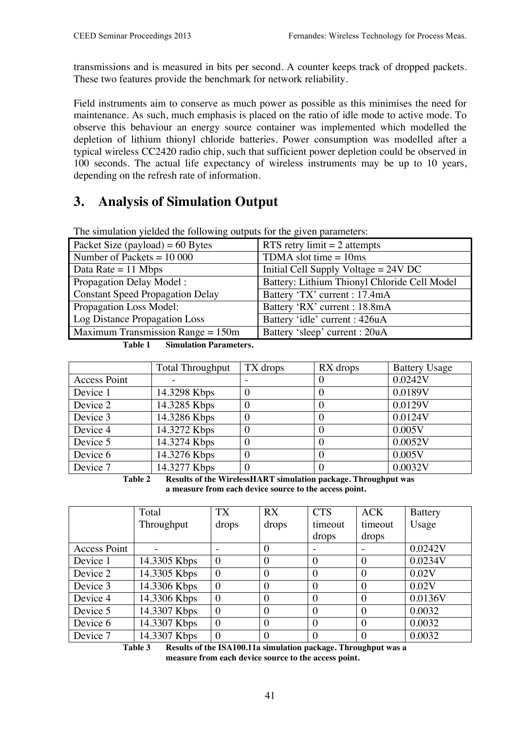transmissions and is measured in bits per second. A counter keeps track of dropped packets. These two features provide the benchmark for network reliability.

Field instruments aim to conserve as much power as possible as this minimises the need for maintenance. As such, much emphasis is placed on the ratio of idle mode to active mode. To observe this behaviour an energy source container was implemented which modelled the depletion of lithium thionyl chloride batteries. Power consumption was modelled after a typical wireless CC2420 radio chip, such that sufficient power depletion could be observed in 100 seconds. The actual life expectancy of wireless instruments may be up to 10 years, depending on the refresh rate of information.

## **3. Analysis of Simulation Output**

| Packet Size (payload) = $60$ Bytes      | RTS retry limit $= 2$ attempts               |  |  |  |  |  |
|-----------------------------------------|----------------------------------------------|--|--|--|--|--|
| Number of Packets $= 10000$             | TDMA slot time $= 10$ ms                     |  |  |  |  |  |
| Data Rate = $11$ Mbps                   | Initial Cell Supply Voltage $= 24V$ DC       |  |  |  |  |  |
| Propagation Delay Model:                | Battery: Lithium Thionyl Chloride Cell Model |  |  |  |  |  |
| <b>Constant Speed Propagation Delay</b> | Battery 'TX' current : 17.4mA                |  |  |  |  |  |
| Propagation Loss Model:                 | Battery 'RX' current : 18.8mA                |  |  |  |  |  |
| <b>Log Distance Propagation Loss</b>    | Battery 'idle' current : 426uA               |  |  |  |  |  |
| Maximum Transmission Range $= 150$ m    | Battery 'sleep' current : 20uA               |  |  |  |  |  |

The simulation yielded the following outputs for the given parameters:

**Table 1 Simulation Parameters.**

|                     | <b>Total Throughput</b> | TX drops | RX drops | <b>Battery Usage</b> |
|---------------------|-------------------------|----------|----------|----------------------|
| <b>Access Point</b> |                         |          |          | 0.0242V              |
| Device 1            | 14.3298 Kbps            |          |          | 0.0189V              |
| Device 2            | 14.3285 Kbps            |          |          | 0.0129V              |
| Device 3            | 14.3286 Kbps            |          |          | 0.0124V              |
| Device 4            | 14.3272 Kbps            |          |          | 0.005V               |
| Device 5            | 14.3274 Kbps            |          |          | 0.0052V              |
| Device 6            | 14.3276 Kbps            |          |          | 0.005V               |
| Device 7            | 14.3277 Kbps            |          |          | 0.0032V              |

**Table 2 Results of the WirelessHART simulation package. Throughput was a measure from each device source to the access point.**

|                     | Total        | <b>TX</b> | RX             | <b>CTS</b>     | ACK      | <b>Battery</b> |
|---------------------|--------------|-----------|----------------|----------------|----------|----------------|
|                     | Throughput   | drops     | drops          | timeout        | timeout  | Usage          |
|                     |              |           |                | drops          | drops    |                |
| <b>Access Point</b> |              |           | $\Omega$       |                |          | 0.0242V        |
| Device 1            | 14.3305 Kbps | $\theta$  | $\theta$       | $\theta$       | $\theta$ | 0.0234V        |
| Device 2            | 14.3305 Kbps | $\theta$  | $\theta$       | $\theta$       | $\theta$ | 0.02V          |
| Device 3            | 14.3306 Kbps | $\theta$  | $\theta$       | $\theta$       | $\theta$ | 0.02V          |
| Device 4            | 14.3306 Kbps | $\theta$  | $\theta$       | $\theta$       | $\Omega$ | 0.0136V        |
| Device 5            | 14.3307 Kbps | $\theta$  | $\theta$       | $\overline{0}$ | $\theta$ | 0.0032         |
| Device 6            | 14.3307 Kbps | $\theta$  | $\theta$       | $\theta$       | $\theta$ | 0.0032         |
| Device 7            | 14.3307 Kbps | $\theta$  | $\overline{0}$ | $\theta$       | $\Omega$ | 0.0032         |

**Table 3 Results of the ISA100.11a simulation package. Throughput was a measure from each device source to the access point.**